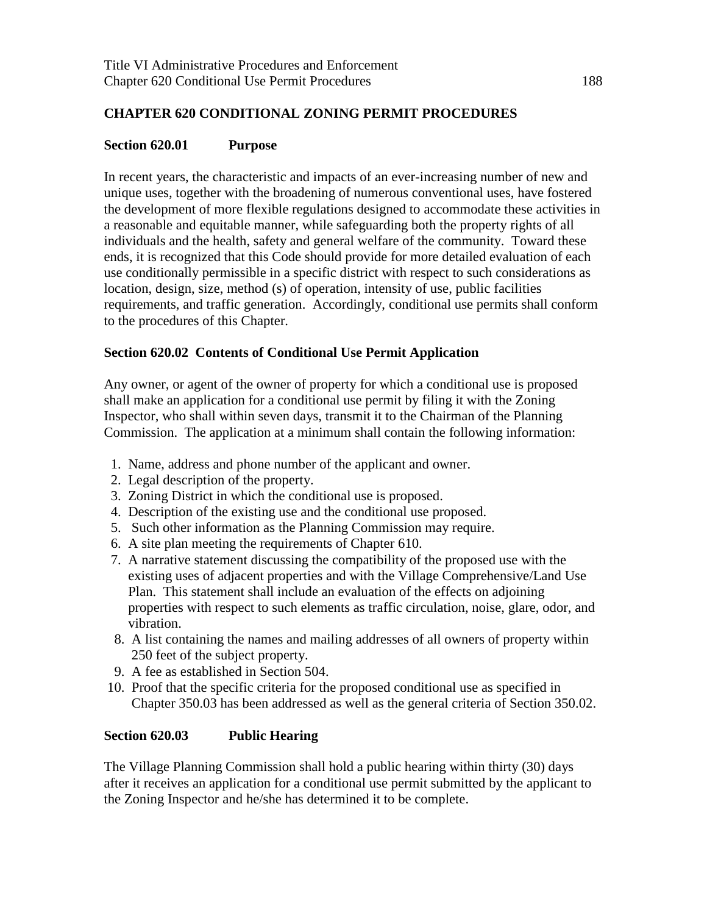## **CHAPTER 620 CONDITIONAL ZONING PERMIT PROCEDURES**

#### **Section 620.01 Purpose**

In recent years, the characteristic and impacts of an ever-increasing number of new and unique uses, together with the broadening of numerous conventional uses, have fostered the development of more flexible regulations designed to accommodate these activities in a reasonable and equitable manner, while safeguarding both the property rights of all individuals and the health, safety and general welfare of the community. Toward these ends, it is recognized that this Code should provide for more detailed evaluation of each use conditionally permissible in a specific district with respect to such considerations as location, design, size, method (s) of operation, intensity of use, public facilities requirements, and traffic generation. Accordingly, conditional use permits shall conform to the procedures of this Chapter.

## **Section 620.02 Contents of Conditional Use Permit Application**

Any owner, or agent of the owner of property for which a conditional use is proposed shall make an application for a conditional use permit by filing it with the Zoning Inspector, who shall within seven days, transmit it to the Chairman of the Planning Commission. The application at a minimum shall contain the following information:

- 1. Name, address and phone number of the applicant and owner.
- 2. Legal description of the property.
- 3. Zoning District in which the conditional use is proposed.
- 4. Description of the existing use and the conditional use proposed.
- 5. Such other information as the Planning Commission may require.
- 6. A site plan meeting the requirements of Chapter 610.
- 7. A narrative statement discussing the compatibility of the proposed use with the existing uses of adjacent properties and with the Village Comprehensive/Land Use Plan. This statement shall include an evaluation of the effects on adjoining properties with respect to such elements as traffic circulation, noise, glare, odor, and vibration.
- 8. A list containing the names and mailing addresses of all owners of property within 250 feet of the subject property.
- 9. A fee as established in Section 504.
- 10. Proof that the specific criteria for the proposed conditional use as specified in Chapter 350.03 has been addressed as well as the general criteria of Section 350.02.

#### **Section 620.03 Public Hearing**

The Village Planning Commission shall hold a public hearing within thirty (30) days after it receives an application for a conditional use permit submitted by the applicant to the Zoning Inspector and he/she has determined it to be complete.